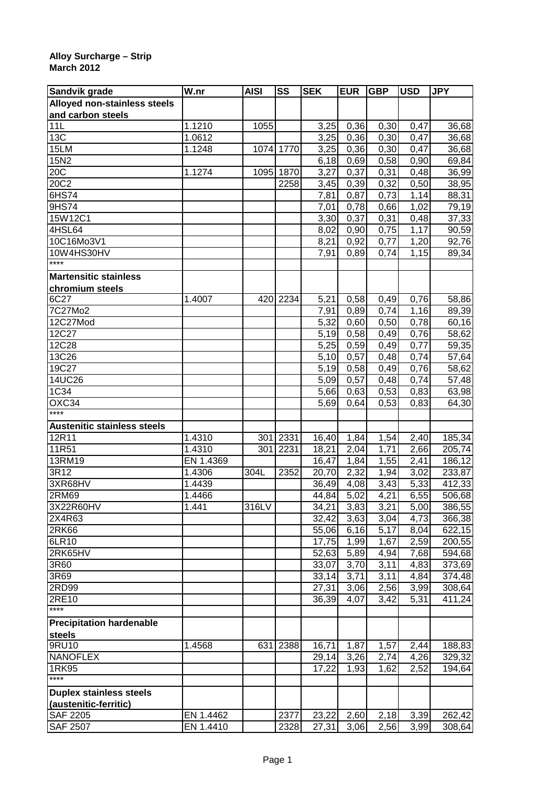## **Alloy Surcharge – Strip March 2012**

| Sandvik grade                      | $\overline{\mathsf{W}}$ .nr | <b>AISI</b> | SS        | <b>SEK</b> | <b>EUR</b> | <b>GBP</b> | <b>USD</b> | <b>JPY</b> |
|------------------------------------|-----------------------------|-------------|-----------|------------|------------|------------|------------|------------|
| Alloyed non-stainless steels       |                             |             |           |            |            |            |            |            |
| and carbon steels                  |                             |             |           |            |            |            |            |            |
| 11L                                | 1.1210                      | 1055        |           | 3,25       | 0,36       | 0,30       | 0,47       | 36,68      |
| 13C                                | 1.0612                      |             |           | 3,25       | 0,36       | 0,30       | 0,47       | 36,68      |
| 15LM                               | 1.1248                      |             | 1074 1770 | 3,25       | 0,36       | 0,30       | 0,47       | 36,68      |
| 15N2                               |                             |             |           | 6,18       | 0,69       | 0,58       | 0,90       | 69,84      |
| 20C                                | 1.1274                      | 1095        | 1870      | 3,27       | 0,37       | 0,31       | 0,48       | 36,99      |
| 20C2                               |                             |             | 2258      | 3,45       | 0,39       | 0,32       | 0,50       | 38,95      |
| 6HS74                              |                             |             |           | 7,81       | 0,87       | 0,73       | 1,14       | 88,31      |
| 9HS74                              |                             |             |           | 7,01       | 0,78       | 0,66       | 1,02       | 79,19      |
| 15W12C1                            |                             |             |           | 3,30       | 0,37       | 0,31       | 0,48       | 37,33      |
| 4HSL64                             |                             |             |           | 8,02       | 0,90       | 0,75       | 1,17       | 90,59      |
| 10C16Mo3V1                         |                             |             |           | 8,21       | 0,92       | 0,77       | 1,20       | 92,76      |
| 10W4HS30HV                         |                             |             |           | 7,91       | 0,89       | 0,74       | 1,15       | 89,34      |
| $***$                              |                             |             |           |            |            |            |            |            |
| <b>Martensitic stainless</b>       |                             |             |           |            |            |            |            |            |
| chromium steels                    |                             |             |           |            |            |            |            |            |
| 6C <sub>27</sub>                   | 1.4007                      | 420         | 2234      | 5,21       | 0,58       | 0,49       | 0,76       | 58,86      |
| 7C27Mo2                            |                             |             |           | 7,91       | 0,89       | 0,74       | 1,16       | 89,39      |
| 12C27Mod                           |                             |             |           | 5,32       | 0,60       | 0,50       | 0,78       | 60,16      |
| 12C27                              |                             |             |           | 5,19       | 0,58       | 0,49       | 0,76       | 58,62      |
| 12C28                              |                             |             |           | 5,25       | 0,59       | 0,49       | 0,77       | 59,35      |
| 13C26                              |                             |             |           | 5,10       | 0,57       | 0,48       | 0,74       | 57,64      |
| 19C27                              |                             |             |           | 5,19       | 0,58       | 0,49       | 0,76       | 58,62      |
| 14UC26                             |                             |             |           | 5,09       | 0,57       | 0,48       | 0,74       | 57,48      |
| 1C34                               |                             |             |           | 5,66       |            |            | 0,83       |            |
| $\overline{OXC34}$                 |                             |             |           |            | 0,63       | 0,53       |            | 63,98      |
| ****                               |                             |             |           | 5,69       | 0,64       | 0,53       | 0,83       | 64,30      |
| <b>Austenitic stainless steels</b> |                             |             |           |            |            |            |            |            |
| 12R11                              | 1.4310                      | 301         | 2331      |            |            |            |            |            |
|                                    |                             |             |           | 16,40      | 1,84       | 1,54       | 2,40       | 185,34     |
| 11R51                              | 1.4310                      | 301         | 2231      | 18,21      | 2,04       | 1,71       | 2,66       | 205,74     |
| 13RM19                             | EN 1.4369                   |             |           | 16,47      | 1,84       | 1,55       | 2,41       | 186,12     |
| 3R12                               | 1.4306                      | 304L        | 2352      | 20,70      | 2,32       | 1,94       | 3,02       | 233,87     |
| 3XR68HV                            | 1.4439                      |             |           | 36,49      | 4,08       | 3,43       | 5,33       | 412,33     |
| 2RM69                              | 1.4466                      |             |           | 44,84      | 5,02       | 4,21       | 6,55       | 506,68     |
| 3X22R60HV                          | 1.441                       | 316LV       |           | 34,21      | 3,83       | 3,21       | 5,00       | 386,55     |
| 2X4R63                             |                             |             |           | 32,42      | 3,63       | 3,04       | 4,73       | 366,38     |
| 2RK66                              |                             |             |           | 55,06      | 6,16       | 5,17       | 8,04       | 622,15     |
| 6LR10                              |                             |             |           | 17,75      | 1,99       | 1,67       | 2,59       | 200,55     |
| 2RK65HV                            |                             |             |           | 52,63      | 5,89       | 4,94       | 7,68       | 594,68     |
| 3R60                               |                             |             |           | 33,07      | 3,70       | 3,11       | 4,83       | 373,69     |
| 3R69                               |                             |             |           | 33,14      | 3,71       | 3,11       | 4,84       | 374,48     |
| 2RD99                              |                             |             |           | 27,31      | 3,06       | 2,56       | 3,99       | 308,64     |
| 2RE10                              |                             |             |           | 36,39      | 4,07       | 3,42       | 5,31       | 411,24     |
| $***$                              |                             |             |           |            |            |            |            |            |
| <b>Precipitation hardenable</b>    |                             |             |           |            |            |            |            |            |
| steels                             |                             |             |           |            |            |            |            |            |
| 9RU10                              | 1.4568                      | 631         | 2388      | 16,71      | 1,87       | 1,57       | 2,44       | 188,83     |
| <b>NANOFLEX</b>                    |                             |             |           | 29,14      | 3,26       | 2,74       | 4,26       | 329,32     |
| 1RK95                              |                             |             |           | 17,22      | 1,93       | 1,62       | 2,52       | 194,64     |
| $***$                              |                             |             |           |            |            |            |            |            |
| <b>Duplex stainless steels</b>     |                             |             |           |            |            |            |            |            |
| (austenitic-ferritic)              |                             |             |           |            |            |            |            |            |
| <b>SAF 2205</b>                    | EN 1.4462                   |             | 2377      | 23,22      | 2,60       | 2,18       | 3,39       | 262,42     |
| <b>SAF 2507</b>                    | EN 1.4410                   |             | 2328      | 27,31      | 3,06       | 2,56       | 3,99       | 308,64     |